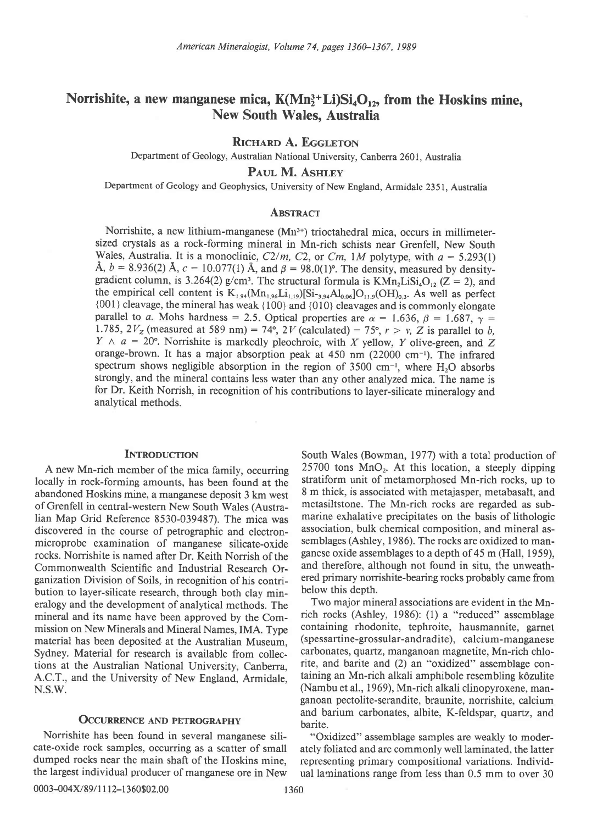# Norrishite, a new manganese mica,  $K(Mn_2^3+Li)Si_4O_{12}$ , from the Hoskins mine, New South Wales, Australia

RICHARD A. EGGLETON

Department of Geology, Australian National University, Canberra 2601, Australia

PAUL M. ASHLEY

Department of Geology and Geophysics, University of New England, Armidale 2351, Australia

# **ABSTRACT**

Norrishite, a new lithium-manganese (Mu3\*) trioctahedral mica, occurs in millimetersized crystals as a rock-forming mineral in Mn-rich schists near Grenfell, New South Wales, Australia. It is a monoclinic,  $C2/m$ ,  $C2$ , or  $Cm$ ,  $1M$  polytype, with  $a = 5.293(1)$ Å,  $b = 8.936(2)$  Å,  $c = 10.077(1)$  Å, and  $\beta = 98.0(1)$ °. The density, measured by densitygradient column, is 3.264(2) g/cm<sup>3</sup>. The structural formula is  $KMn_2LiSi<sub>4</sub>O<sub>12</sub>$  (Z = 2), and the empirical cell content is  $K_{1,94}(Mn_{1,96}Li_{1,19})[Si_{-3,94}Al_{0,06}]O_{11,9}(OH)_{0,3}$ . As well as perfect {001} cleavage, the mineral has weak { 100} and {010} cleavages and is commonly elongate parallel to a. Mohs hardness = 2.5. Optical properties are  $\alpha = 1.636$ ,  $\beta = 1.687$ ,  $\gamma =$ 1.785,  $2V_z$  (measured at 589 nm) = 74°, 2V (calculated) = 75°,  $r > v$ , Z is parallel to b,  $Y \wedge a = 20^{\circ}$ . Norrishite is markedly pleochroic, with X yellow, Y olive-green, and Z orange-brown. It has a major absorption peak at 450 nm (22000 cm-'). The infrared spectrum shows negligible absorption in the region of  $3500 \text{ cm}^{-1}$ , where H<sub>2</sub>O absorbs strongly, and the mineral contains less water than any other analyzed mica. The name is for Dr. Keith Norrish, in recognition of his contributions to layer-silicate mineralogy and analytical methods.

# **INTRODUCTION**

A new Mn-rich member of the mica family, occurring locally in rock-forming amounts, has been found at the abandoned Hoskins mine, a manganese deposit 3 km west of Grenfell in central-western New South Wales (Australian Map Grid Reference 8530-039487). The mica was discovered in the course of petrographic and electronmicroprobe examination of manganese silicate-oxide rocks. Norrishite is named after Dr. Keith Norrish of the Commonwealth Scientific and Industrial Research Organization Division of Soils, in recognition of his contribution to layer-silicate research, through both clay mineralogy and the development of analytical methods. The mineral and its name have been approved by the Commission on New Minerals and Mineral Names, IMA. Type material has been deposited at the Australian Museum, Sydney. Material for research is available from collections at the Australian National University, Canberra, A.C.T., and the University of New England, Armidale, N.S.W.

### OCCURRENCE AND PETROGRAPHY

Norrishite has been found in several manganese silicate-oxide rock samples, occurring as a scatter of small dumped rocks near the main shaft of the Hoskins mine, the largest individual producer of manganese ore in New South Wales (Bowman, 1977) with a total production of 25700 tons  $MnO<sub>2</sub>$ . At this location, a steeply dipping stratiform unit of metamorphosed Mn-rich rocks, up to 8 m thick, is associated with metajasper, metabasalt, and metasiltstone. The Mn-rich rocks are regarded as submarine exhalative precipitates on the basis of lithologic association, bulk chemical composition, and mineral assemblages (Ashley, 1986). The rocks are oxidized to manganese oxide assemblages to a depth of 45 m (Hall, 1959), and therefore, although not found in situ, the unweathered primary norrishite-bearing rocks probably came from below this depth.

Two major mineral associations are evident in the Mnrich rocks (Ashley, 1986): (l) a "reduced" assemblage containing rhodonite, tephroite, hausmannite, garnet (spessartine-grossular-andradite), calcium-manganese carbonates, quartz, manganoan magnetite, Mn-rich chlorite, and barite and (2) an "oxidized" assemblage containing an Mn-rich alkali amphibole resembling k6zulite (Nambu et al.,1969), Mn-rich alkali clinopyroxene, manganoan pectolite-serandite, braunite, norrishite, calcium and barium carbonates, albite, K-feldspar, quartz, and barite.

"Oxidized" assemblage samples are weakly to moderately foliated and are commonly well laminated, the latter representing primary compositional variations. Individual laminations range from less than 0.5 mm to over 30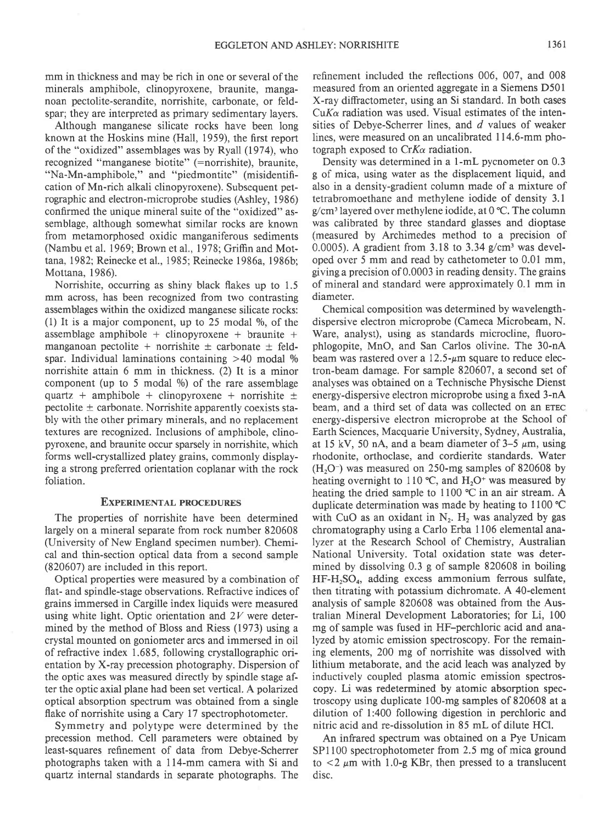mm in thickness and may be rich in one or several of the minerals amphibole, clinopyroxene, braunite, manganoan pectolite-serandite, norrishite, carbonate, or feldspar; they are interpreted as primary sedimentary layers.

Although manganese silicate rocks have been long known at the Hoskins mine (Hall, 1959), the first report of the "oxidized" assemblages was by Ryall (1974), who recognized "manganese biotite" (=norrishite), braunite, "Na-Mn-amphibole," and "piedmontite" (misidentification of Mn-rich alkali clinopyroxene). Subsequent petrographic and electron-microprobe studies (Ashley, 1986) confirmed the unique mineral suite of the "oxidized" assemblage, although somewhat similar rocks are known from metamorphosed oxidic manganiferous sediments (Nambu et al. 1969; Brown et al., 1978; Griffin and Mottana, 1982; Reinecke et al., 1985; Reinecke 1986a, 1986b; Mottana, 1986).

Norrishite, occurring as shiny black flakes up to 1.5 mm across, has been recognized from two contrasting assemblages within the oxidized manganese silicate rocks: (1) It is a major component, up to  $25$  modal %, of the assemblage amphibole + clinopyroxene + braunite + manganoan pectolite + norrishite  $\pm$  carbonate  $\pm$  feldspar. Individual laminations containing  $>40$  modal % norrishite attain 6 mm in thickness. (2) It is a minor component (up to  $5 \text{ modal } \%$ ) of the rare assemblage quartz + amphibole + clinopyroxene + norrishite  $\pm$ pectolite  $\pm$  carbonate. Norrishite apparently coexists stably with the other primary minerals, and no replacement textures are recognized. Inclusions of amphibole, clinopyroxene, and braunite occur sparsely in norrishite, which forms well-crystallized platey grains, commonly displaying a strong preferred orientation coplanar with the rock foliation.

## **EXPERIMENTAL PROCEDURES**

The properties of norrishite have been determined largely on a mineral separate from rock number 820608 (University of New England specimen number). Chemical and thin-section optical data from a second sample (820607) are included in this report.

Optical properties were measured by a combination of flat- and spindle-stage observations. Refractive indices of grains immersed in Cargille index liquids were measured using white light. Optic orientation and  $2V$  were determined by the method of Bloss and Riess (1973) using a crystal mounted on goniometer arcs and immersed in oil of refractive index 1.685, following crystallographic orientation by X-ray precession photography. Dispersion of the optic axes was measured directly by spindle stage after the optic axial plane had been set vertical. A polarized optical absorption spectrum was obtained from a single flake of norrishite using a Cary 17 spectrophotometer.

Symmetry and polytype were determined by the precession method. Cell parameters were obtained by least-squares refinement of data from Debye-Scherrer photographs taken with a I l4-mm camera with Si and quartz internal standards in separate photographs. The refinement included the reflections 006. 007. and 008 measured from an oriented aggregate in a Siemens D50l X-ray diffractometer, using an Si standard. In both cases  $CuK\alpha$  radiation was used. Visual estimates of the intensities of Debye-Scherrer lines, and d values of weaker lines, were measured on an uncalibrated I14.6-mm photograph exposed to  $CrK_{\alpha}$  radiation.

Density was determined in a 1-mL pycnometer on 0.3 g of mica, using water as the displacement liquid, and also in a density-gradient column made of a mixture of tetrabromoethane and methylene iodide of density 3.1 g/cm3 layered over methylene iodide, at 0'C. The column was calibrated by three standard glasses and dioptase (measured by Archimedes method to a precision of 0.0005). A gradient from  $3.18$  to  $3.34$  g/cm<sup>3</sup> was developed over 5 mm and read by cathetometer to 0.01 mm, giving a precision of 0.0003 in reading density. The grains of mineral and standard were approximately 0. I mm in diameter.

Chemical composition was determined by wavelengthdispersive electron microprobe (Cameca Microbeam, N. Ware, analyst), using as standards microcline, fluorophlogopite, MnO, and San Carlos olivine. The 30-nA beam was rastered over a  $12.5-\mu m$  square to reduce electron-beam damage. For sample 820607, a second set of analyses was obtained on a Technische Physische Dienst energy-dispersive electron microprobe using a fixed 3-nA beam, and a third set of data was collected on an ETEC energy-dispersive electron microprobe at the School of Earth Sciences, Macquarie University, Sydney, Australia, at 15 kV, 50 nA, and a beam diameter of  $3-5 \mu m$ , using rhodonite, orthoclase, and cordierite standards. Water  $(H<sub>2</sub>O<sup>-</sup>)$  was measured on 250-mg samples of 820608 by heating overnight to 110 °C, and  $H<sub>2</sub>O<sup>+</sup>$  was measured by heating the dried sample to 1100  $\degree$ C in an air stream. A duplicate determination was made by heating to 1100 "C with CuO as an oxidant in  $N_2$ .  $H_2$  was analyzed by gas chromatography using a Carlo Erba I106 elemental analyzer at the Research School of Chemistry, Australian National University. Total oxidation state was determined by dissolving 0.3 g of sample 820608 in boiling HF-H<sub>2</sub>SO<sub>4</sub>, adding excess ammonium ferrous sulfate, then titrating with potassium dichromate. A 4O-element analysis of sample 820608 was obtained from the Australian Mineral Development Laboratories; for Li, 100 mg of sample was fused in HF-perchloric acid and analyzed by atomic emission spectroscopy. For the remaining elements, 200 mg of norrishite was dissolved with lithium metaborate, and the acid leach was analyzed by inductively coupled plasma atomic emission spectroscopy. Li was redetermined by atomic absorption spectroscopy using duplicate 100-mg samples of 820608 at a dilution of 1:400 following digestion in perchloric and nitric acid and re-dissolution in 85 mL of dilute HCl.

An infrared spectrum was obtained on a Pye Unicam SP1100 spectrophotometer from 2.5 mg of mica ground to  $\langle 2 \mu m \rangle$  with 1.0-g KBr, then pressed to a translucent disc.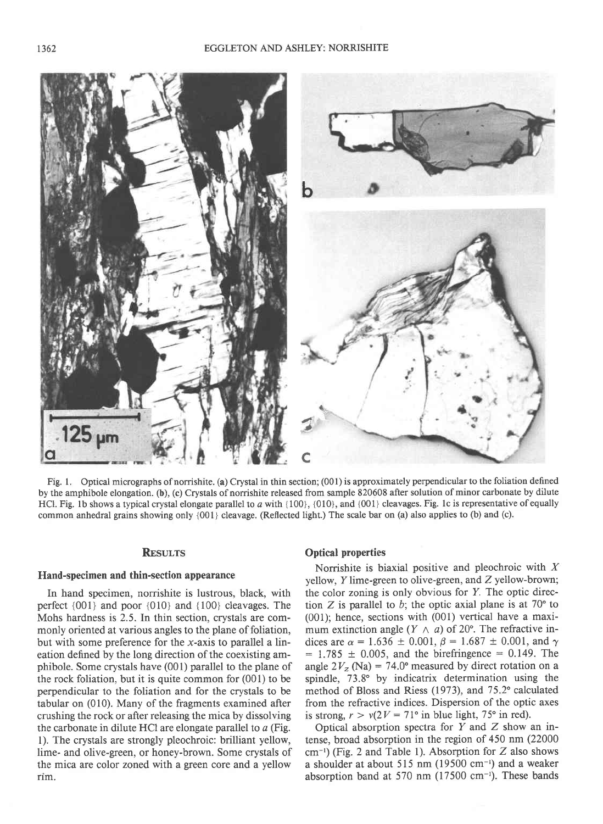

Fig. 1. Optical micrographs of norrishite. (a) Crystal in thin section; (001) is approximately perpendicular to the foliation defined by the amphibole elongation. (b), (c) Crystals of norrishite released from sample 820608 after solution of minor carbonate by dilute HCl. Fig. 1b shows a typical crystal elongate parallel to  $a$  with  $\{100\}$ ,  $\{010\}$ , and  $\{001\}$  cleavages. Fig. 1c is representative of equally common anhedral grains showing only {001} cleavage. (Reflected light.) The scale bar on (a) also applies to (b) and (c).

#### **RESULTS**

#### Hand-specimen and thin-section appearance

In hand specimen, norrishite is lustrous, black, with perfect {001} and poor {010} and {100} cleavages. The Mohs hardness is 2.5. In thin section, crystals are commonly oriented at various angles to the plane of foliation, but with some preference for the x-axis to parallel a lineation defined by the long direction of the coexisting amphibole. Some crystals have (001) parallel to the plane of the rock foliation, but it is quite common for (001) to be perpendicular to the foliation and for the crystals to be tabular on  $(010)$ . Many of the fragments examined after crushing the rock or after releasing the mica by dissolving the carbonate in dilute HCl are elongate parallel to  $a$  (Fig. l). The crystals are strongly pleochroic: brilliant yellow, lime- and olive-green, or honey-brown. Some crystals of the mica are color zoned with a green core and a yellow rim.

## Optical properties

Norrishite is biaxial positive and pleochroic with  $X$ yellow,  $Y$  lime-green to olive-green, and  $Z$  yellow-brown; the color zoning is only obvious for Y. The optic direction Z is parallel to b; the optic axial plane is at  $70^{\circ}$  to (001); hence, sections with (001) vertical have a maximum extinction angle  $(Y \wedge a)$  of 20°. The refractive indices are  $\alpha = 1.636 \pm 0.001$ ,  $\beta = 1.687 \pm 0.001$ , and  $\gamma$  $= 1.785 \pm 0.005$ , and the birefringence  $= 0.149$ . The angle  $2V_z$  (Na) = 74.0° measured by direct rotation on a spindle, 73.8" by indicatrix determination using the method of Bloss and Riess (1973), and 75.2° calculated from the refractive indices. Dispersion of the optic axes is strong,  $r > v(2V = 71^{\circ}$  in blue light, 75° in red).

Optical absorption spectra for  $Y$  and  $Z$  show an intense, broad absorption in the region of 450 nm (22000  $cm^{-1}$ ) (Fig. 2 and Table 1). Absorption for Z also shows a shoulder at about 515 nm (19500 cm<sup>-1</sup>) and a weaker absorption band at 570 nm  $(17500 \text{ cm}^{-1})$ . These bands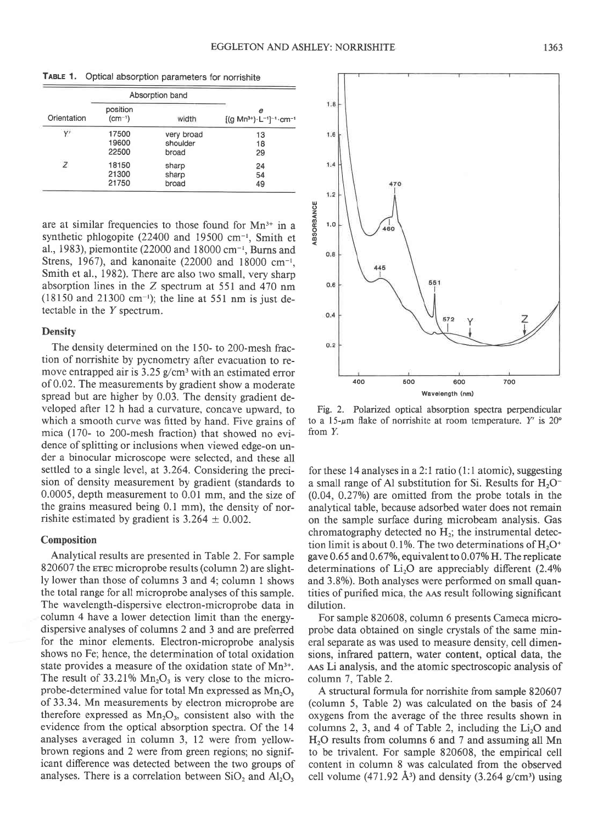|             |                         | Absorption band |                                                      |  |
|-------------|-------------------------|-----------------|------------------------------------------------------|--|
| Orientation | position<br>$(cm^{-1})$ | width           | е<br>$[(g Mn^{3+}) \cdot L^{-1}]^{-1} \cdot cm^{-1}$ |  |
| Y'          | 17500                   | very broad      | 13                                                   |  |
|             | 19600                   | shoulder        | 18                                                   |  |
|             | 22500                   | broad           | 29                                                   |  |
| Z           | 18150                   | sharp           | 24                                                   |  |
|             | 21300                   | sharp           | 54                                                   |  |
|             | 21750                   | broad           | 49                                                   |  |

TABLE 1. Optical absorption parameters for norrishite

are at similar frequencies to those found for  $Mn^{3+}$  in a synthetic phlogopite (22400 and 19500 cm<sup>-1</sup>, Smith et al., 1983), piemontite (22000 and 18000 cm-', Burns and Strens, 1967), and kanonaite (22000 and 18000 cm-', Smith et al., 1982). There are also two small, very sharp absorption lines in the Z spectrum at 551 and 470 nm (18150 and 21300 cm<sup>-1</sup>); the line at 551 nm is just detectable in the  $Y$  spectrum.

#### **Density**

The density determined on the 150- to 200-mesh fraction of norrishite by pycnometry after evacuation to remove entrapped air is 3.25 g/cm<sup>3</sup> with an estimated error of 0.02. The measurements by gradient show a moderate spread but are higher by 0.03. The density gradient developed after 12 h had a curyature, concave upward, to which a smooth curve was fitted by hand. Five grains of mica (170- to 200-mesh fraction) that showed no evidence of splitting or inclusions when viewed edge-on under a binocular microscope were selected, and these all settled to a single level, at 3.264. Considering the precision of density measurement by gradient (standards to 0.0005, depth measurement to 0.01 mm, and the size of the grains measured being 0. I mm), the density of norrishite estimated by gradient is  $3.264 \pm 0.002$ .

#### Composition

Analytical results are presented in Table 2. For sample 820607 the erec microprobe results (column 2) are slightly lower than those of columns 3 and 4; column 1 shows the total range for all microprobe analyses of this sample. The wavelength-dispersive electron-microprobe data in column 4 have a lower detection limit than the energydispersive analyses of columns 2 and 3 and are preferred for the minor elements. Electron-microprobe analysis shows no Fe; hence, the determination of total oxidation state provides a measure of the oxidation state of Mn<sup>3+</sup>. The result of 33.21%  $Mn_2O_3$  is very close to the microprobe-determined value for total Mn expressed as  $Mn_2O_3$ of 33.34. Mn measurements by electron microprobe are therefore expressed as  $Mn<sub>2</sub>O<sub>3</sub>$ , consistent also with the evidence from the optical absorption spectra. Of the 14 analyses averaged in column 3, 12 were from yellowbrown regions and 2 were from green regions; no significant difference was detected between the two groups of analyses. There is a correlation between  $SiO<sub>2</sub>$  and  $Al<sub>2</sub>O<sub>3</sub>$ 



Fig. 2. Polarized optical absorption spectra perpendicular to a 15- $\mu$ m flake of norrishite at room temperature. Y' is 20° from Y.

for these 14 analyses in a 2:1 ratio (1:1 atomic), suggesting a small range of Al substitution for Si. Results for  $H_2O^ (0.04, 0.27%)$  are omitted from the probe totals in the analytical table, because adsorbed water does not remain on the sample surface during microbeam analysis. Gas chromatography detected no  $H_2$ ; the instrumental detection limit is about 0.1%. The two determinations of  $H_2O^*$ gave  $0.65$  and  $0.67\%$ , equivalent to  $0.07\%$  H. The replicate determinations of  $Li<sub>2</sub>O$  are appreciably different (2.4%) and 3.8%). Both analyses were performed on small quantities of purified mica, the AAS result following significant dilution.

For sample 820608, column 6 presents Cameca microprobe data obtained on single crystals of the same mineral separate as was used to measure density, cell dimensions, infrared pattern, water content, optical data, the AAS Li analysis, and the atomic spectroscopic analysis of column 7, Table 2.

A structural formula for norrishite from sample 820607 (column 5, Table 2) was calculated on the basis of 24 oxygens from the average of the three results shown in columns 2, 3, and 4 of Table 2, including the  $Li<sub>2</sub>O$  and  $H<sub>2</sub>O$  results from columns 6 and 7 and assuming all Mn to be trivalent. For sample 820608, the empirical cell content in column 8 was calculated from the observed cell volume (471.92  $\AA$ <sup>3</sup>) and density (3.264 g/cm<sup>3</sup>) using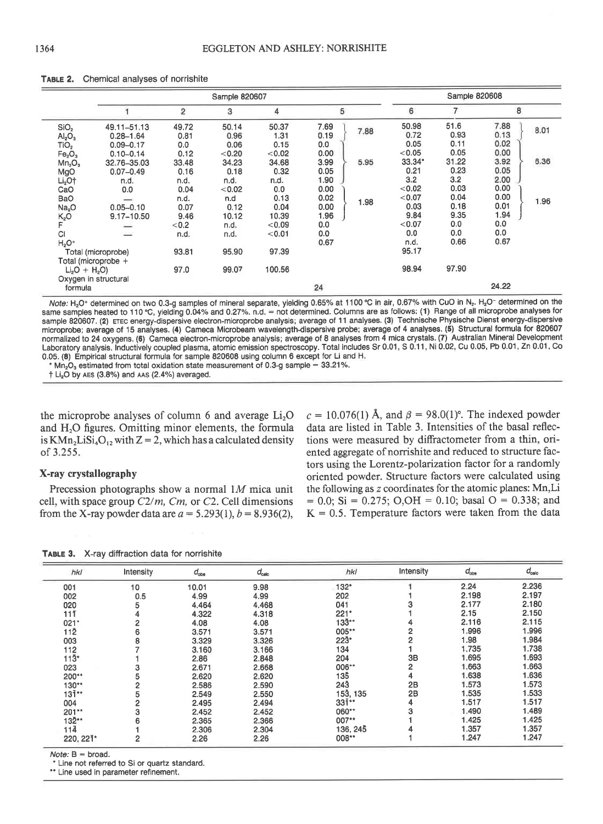|                                                                                                                                                              | Sample 820607                                                                                          |                                                        |                                                          |                                                           |                                                     | Sample 820608 |                                                                      |                                                              |                                                              |              |
|--------------------------------------------------------------------------------------------------------------------------------------------------------------|--------------------------------------------------------------------------------------------------------|--------------------------------------------------------|----------------------------------------------------------|-----------------------------------------------------------|-----------------------------------------------------|---------------|----------------------------------------------------------------------|--------------------------------------------------------------|--------------------------------------------------------------|--------------|
|                                                                                                                                                              |                                                                                                        | $\overline{2}$                                         | 3                                                        | 4                                                         | 5                                                   |               | 6                                                                    | 7                                                            | 8                                                            |              |
| SiO <sub>2</sub><br>Al <sub>2</sub> O <sub>3</sub><br>TiO <sub>2</sub><br>Fe <sub>2</sub> O <sub>3</sub><br>Mn <sub>2</sub> O <sub>3</sub><br>MgO<br>$Li2O+$ | 49.11-51.13<br>$0.28 - 1.64$<br>$0.09 - 0.17$<br>$0.10 - 0.14$<br>32.76-35.03<br>$0.07 - 0.49$<br>n.d. | 49.72<br>0.81<br>0.0<br>0.12<br>33.48<br>0.16<br>n.d.  | 50.14<br>0.96<br>0.06<br>< 0.20<br>34.23<br>0.18<br>n.d. | 50.37<br>1.31<br>0.15<br>< 0.02<br>34.68<br>0.32<br>n.d.  | 7.69<br>0.19<br>0.0<br>0.00<br>3.99<br>0.05<br>1.90 | 7.88<br>5.95  | 50.98<br>0.72<br>0.05<br>< 0.05<br>$33.34*$<br>0.21<br>3.2<br>< 0.02 | 51.6<br>0.93<br>0.11<br>0.05<br>31.22<br>0.23<br>3.2<br>0.03 | 7.88<br>0.13<br>0.02<br>0.00<br>3.92<br>0.05<br>2.00<br>0.00 | 8.01<br>6.36 |
| CaO<br>BaO<br>Na <sub>2</sub> O<br>$K_2O$<br><b>CI</b><br>$H2O+$                                                                                             | 0.0<br>$-$<br>$0.05 - 0.10$<br>9.17-10.50<br>Total (microprobe)                                        | 0.04<br>n.d.<br>0.07<br>9.46<br>< 0.2<br>n.d.<br>93.81 | < 0.02<br>n.d<br>0.12<br>10.12<br>n.d.<br>n.d.<br>95.90  | 0.0<br>0.13<br>0.04<br>10.39<br>< 0.09<br>< 0.01<br>97.39 | 0.00<br>0.02<br>0.00<br>1.96<br>0.0<br>0.0<br>0.67  | 1.98          | < 0.07<br>0.03<br>9.84<br>< 0.07<br>0.0<br>n.d.<br>95.17             | 0.04<br>0.18<br>9.35<br>0.0<br>0.0<br>0.66                   | 0.00<br>0.01<br>1.94<br>0.0<br>0.0<br>0.67                   | 1.96         |
| Total (microprobe +<br>$Li2O + H2O$<br>Oxygen in structural<br>formula                                                                                       |                                                                                                        | 97.0                                                   | 99.07                                                    | 100.56                                                    | 24                                                  |               | 98.94                                                                | 97.90                                                        | 24.22                                                        |              |

#### TABLE 2. Chemical analyses of norrishite

Note: H<sub>2</sub>O<sup>+</sup> determined on two 0.3-g samples of mineral separate, yielding 0.65% at 1100 °C in air, 0.67% with CuO in N<sub>2</sub>. H<sub>2</sub>O<sup>-</sup> determined on the same samples heated to 110 °C, yielding 0.04% and 0.27%. n.d. = not determined. Columns are as follows: (1) Range of all microprobe analyses for sample 820607. (2) ETEC energy-dispersive electron-microprobe analysis; average of 11 analyses. (3) Technische Physische Dienst energy-dispersive microprobe; average of 15 analyses. (4) Cameca Microbeam wavelength-dispersive probe; average of 4 analyses. (5) Structural formula for 820607 normalized to 24 oxygens. (6) Cameca electron-microprobe analysis; average of 8 analyses from 4 mica crystals. (7) Australian Mineral Development Laboratory analysis. Inductively coupled plasma, atomic emission spectroscopy. Total includes Sr 0.01, S 0.11, Ni 0.02, Cu 0.05, Pb 0.01, Zn 0.01, Co 0.05. (8) Empirical structural formula for sample 820608 using column 6 except for Li and H.

 $*$  Mn<sub>2</sub>O<sub>3</sub> estimated from total oxidation state measurement of 0.3-g sample = 33.21%.

 $+$  Li<sub>2</sub>O by AES (3.8%) and AAS (2.4%) averaged.

the microprobe analyses of column 6 and average  $Li<sub>2</sub>O$ and  $H<sub>2</sub>O$  figures. Omitting minor elements, the formula is  $KMn_2LiSi<sub>4</sub>O<sub>12</sub>$  with  $Z = 2$ , which has a calculated density of 3.255.

# X-ray crystallography

Precession photographs show a normal  $1M$  mica unit cell, with space group  $C2/m$ , Cm, or C2. Cell dimensions from the X-ray powder data are  $a = 5.293(1), b = 8.936(2),$ 

 $c = 10.076(1)$  Å, and  $\beta = 98.0(1)$ °. The indexed powder data are listed in Table 3. Intensities of the basal reflections were measured by diffractometer from a thin, oriented aggregate of norrishite and reduced to structure factors using the Lorentz-polarization factor for a randomly oriented powder. Structure factors were calculated using the following as z coordinates for the atomic planes: Mn,Li  $= 0.0$ ; Si = 0.275; O,OH = 0.10; basal O = 0.338; and  $K = 0.5$ . Temperature factors were taken from the data

TABLE 3. X-ray diffraction data for norrishite

| hki              | Intensity | $d_{\rm obs}$ | $d_{\rm calc}$ | hkl            | Intensity      | $d_{\rm obs}$ | $d_{\text{calc}}$ |
|------------------|-----------|---------------|----------------|----------------|----------------|---------------|-------------------|
| 001              | 10        | 10.01         | 9.98           | 132*           |                | 2.24          | 2.236             |
| 002              | 0.5       | 4.99          | 4.99           | 202            |                | 2.198         | 2.197             |
| 020              | 5         | 4.464         | 4.468          | 041            |                | 2.177         | 2.180             |
| 11ī              |           | 4.322         | 4,318          | $221*$         |                | 2.15          | 2.150             |
| $021*$           |           | 4.08          | 4.08           | $133**$        |                | 2.116         | 2.115             |
| $11\overline{2}$ | 6         | 3.571         | 3.571          | 005**          | 2              | 1.996         | 1.996             |
| 003              |           | 3.329         | 3.326          | 223"           | $\overline{2}$ | 1.98          | 1.984             |
| 112              |           | 3.160         | 3.166          | 134            |                | 1.735         | 1.738             |
| $113*$           |           | 2.86          | 2.848          | 204            | 3B             | 1.695         | 1.693             |
| 023              |           | 2.671         | 2.668          | 006**          | $\overline{2}$ | 1.663         | 1.663             |
| 200**            |           | 2.620         | 2.620          | 135            | 4              | 1.638         | 1,636             |
| 130**            |           | 2.586         | 2.590          | 243            | 2B             | 1.573         | 1.573             |
| $131**$          |           | 2.549         | 2.550          | 153, 135       | 2B             | 1.535         | 1.533             |
| 004              |           | 2.495         | 2.494          | $33\bar{1}$ ** | 4              | 1.517         | 1.517             |
| 201**            |           | 2.452         | 2.452          | 060**          |                | 1.490         | 1.489             |
| 132**            |           | 2.365         | 2.366          | 007**          |                | 1.425         | 1.425             |
| 114              |           | 2.306         | 2.304          | 136, 245       |                | 1.357         | 1.357             |
| 220, 221*        | 2         | 2.26          | 2.26           | 008**          |                | 1.247         | 1.247             |

Note: B = broad.<br>\* Line not referred to Si or quartz standard.<br>\*\* Line used in parameter refinement.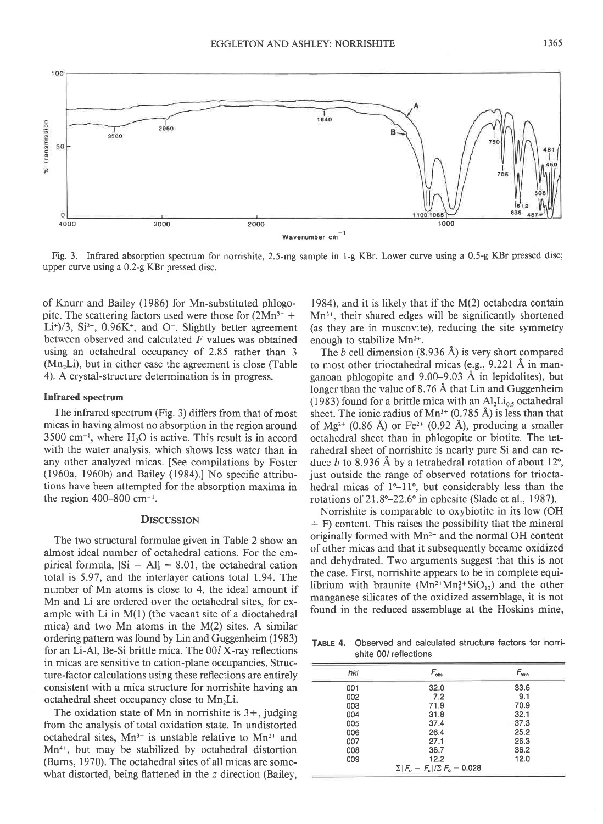

Fig. 3. Infrared absorption spectrum for norrishite, 2.5-mg sample in 1-g KBr. Lower curve using a 0.5-g KBr pressed disc; upper curve using a 0.2-g KBr pressed disc.

of Knurr and Bailey (1986) for Mn-substituted phlogopite. The scattering factors used were those for  $(2Mn<sup>3+</sup> +$ Li<sup>+</sup>)/3, Si<sup>2+</sup>, 0.96K<sup>+</sup>, and O<sup>-</sup>. Slightly better agreement between observed and calculated  $F$  values was obtained using an octahedral occupancy of 2.85 rather than 3  $(Mn<sub>2</sub>Li)$ , but in either case the agreement is close (Table 4). A crystal-structure determination is in progress.

#### Infrared spectrum

The infrared spectrum (Fig. 3) differs from that of most micas in having almost no absorption in the region around  $3500 \text{ cm}^{-1}$ , where  $H_2O$  is active. This result is in accord with the water analysis, which shows less water than in any other analyzed micas. [See compilations by Foster (1960a, 1960b) and Bailey (1984).] No specific attributions have been attempted for the absorption maxima in the region 400-800 cm-'.

#### **DISCUSSION**

The two structural formulae given in Table 2 show an almost ideal number of octahedral cations. For the empirical formula,  $[S_i + Al] = 8.01$ , the octahedral cation total is 5.97, and the interlayer cations total 1.94. The number of Mn atoms is close to 4, the ideal amount if Mn and Li are ordered over the octahedral sites, for example with Li in M(l) (the vacant site of a dioctahedral mica) and two Mn atoms in the M(2) sites. A similar ordering pattern was found by Lin and Guggenheim (1983) for an Li-Al, Be-Si brittle mica. The 00/ X-ray reflections in micas are sensitive to cation-plane occupancies. Structure-factor calculations using these reflections are entirely consistent with a mica structure for norrishite having an octahedral sheet occupancy close to  $Mn<sub>2</sub>Li$ .

The oxidation state of Mn in norrishite is  $3+$ , judging from the analysis of total oxidation state. In undistorted octahedral sites,  $Mn^{3+}$  is unstable relative to  $Mn^{2+}$  and  $Mn^{4+}$ , but may be stabilized by octahedral distortion (Burns, 1970). The octahedral sites of all micas are somewhat distorted, being flattened in the z direction (Bailey,

1984), and it is likely that if the M(2) octahedra contain Mn3\*, their shared edges will be significantly shortened (as they are in muscovite), reducing the site symmetry enough to stabilize Mn<sup>3+</sup>.

The b cell dimension  $(8.936 \text{ Å})$  is very short compared to most other trioctahedral micas (e.g., 9.221 Å in manganoan phlogopite and  $9.00-9.03$  Å in lepidolites), but longer than the value of  $8.76 \text{ Å}$  that Lin and Guggenheim (1983) found for a brittle mica with an  $Al_2Li_{0.5}$  octahedral sheet. The ionic radius of  $Mn^{3+}$  (0.785 Å) is less than that of Mg<sup>2+</sup> (0.86 Å) or Fe<sup>2+</sup> (0.92 Å), producing a smaller octahedral sheet than in phlogopite or biotite. The tetrahedral sheet of norrishite is nearly pure Si and can reduce b to 8.936 Å by a tetrahedral rotation of about 12 $^{\circ}$ , just outside the range of observed rotations for trioctahedral micas of  $1^\circ - 11^\circ$ , but considerably less than the rotations of 21.8°–22.6° in ephesite (Slade et al., 1987).

Norrishite is comparable to oxybiotite in its low (OH  $+ F$ ) content. This raises the possibility that the mineral originally formed with Mn2\* and the normal OH content of other micas and that it subsequently became oxidized and dehydrated. Two arguments suggest that this is not the case. First, norrishite appears to be in complete equilibrium with braunite  $(Mn^{2+}Mn_6^{3+}SiO_{12})$  and the other manganese silicates of the oxidized assemblage, it is not found in the reduced assemblage at the Hoskins mine,

TABLE 4, Observed and calculated structure factors for norrishite 00/ reflections

| hkl | $F_{obs}$                                 | $F_{\rm calc}$ |
|-----|-------------------------------------------|----------------|
| 001 | 32.0                                      | 33.6           |
| 002 | 7.2                                       | 9.1            |
| 003 | 71.9                                      | 70.9           |
| 004 | 31.8                                      | 32.1           |
| 005 | 37.4                                      | $-37.3$        |
| 006 | 26.4                                      | 25.2           |
| 007 | 27.1                                      | 26.3           |
| 008 | 36.7                                      | 36.2           |
| 009 | 12.2                                      | 12.0           |
|     | $\Sigma  F_{0}-F_{c} /\Sigma F_{0}=0.028$ |                |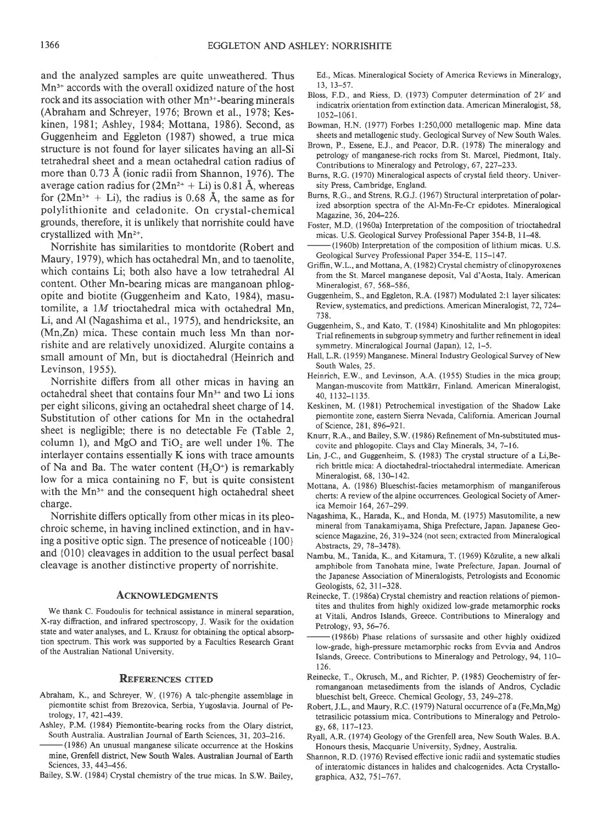and the analyzed samples are quite unweathered. Thus Mn3\* accords with the overall oxidized nature of the host rock and its association with other Mn<sup>3+</sup>-bearing minerals (Abraham and Schreyer,1976; Brown et al., 1978; Keskinen, 1981; Ashley, 1984; Mottana, 1986). Second, as Guggenheim and Eggleton (1987) showed, a true mica structure is not found for layer silicates having an all-Si tetrahedral sheet and a mean octahedral cation radius of more than 0.73 A (ionic radii from Shannon, 1976). The average cation radius for  $(2Mn^{2+} + Li)$  is 0.81 Å, whereas for  $(2Mn^{3+} + Li)$ , the radius is 0.68 Å, the same as for polylithionite and celadonite. On crystal-chemical grounds, therefore, it is unlikely that norrishite could have crystallized with Mn2\*.

Norrishite has similarities to montdorite (Robert and Maury, 1979), which has octahedral Mn, and to taenolite, which contains Li; both also have a low tetrahedral Al content. Other Mn-bearing micas are manganoan phlogopite and biotite (Guggenheim and Kato, 1984), masutomilite, a lM tioctahedral mica with octahedral Mn, Li, and AI (Nagashima et al., 1975), and hendricksite, an (Mn,Zn) mica. These contain much less Mn than norrishite and are relatively unoxidized. Alurgite contains a small amount of Mn, but is dioctahedral (Heinrich and Levinson, 1955).

Norrishite differs from all other micas in having an octahedral sheet that contains four Mn3\* and two Li ions per eight silicons, giving an octahedral sheet charge of 14. Substitution of other cations for Mn in the octahedral sheet is negligible; there is no detectable Fe (Table 2, column 1), and MgO and  $TiO<sub>2</sub>$  are well under 1%. The interlayer contains essentially K ions with trace amounts of Na and Ba. The water content  $(H_2O^+)$  is remarkably low for a mica containing no F, but is quite consistent with the  $Mn^{3+}$  and the consequent high octahedral sheet charge.

Norrishite differs optically from other micas in its pleochroic scheme, in having inclined extinction, and in having a positive optic sign. The presence of noticeable  $\{100\}$ and {010} cleavages in addition to the usual perfect basal cleavage is another distinctive property of norrishite.

#### **ACKNOWLEDGMENTS**

We thank C. Foudoulis for technical assistance in mineral separation, X-ray diffraction, and infrared spectroscopy, J. Wasik for the oxidation state and water analyses, and L. Krausz for obtaining the optical absorption spectrum. This work was supported by a Faculties Research Grant of the Australian National Universitv.

#### **REFERENCES CITED**

- Abraham, K., and Schreyer, W. (1976) A talc-phengite assemblage in piemontite schist from Brezovica, Serbia, Yugoslavia. Journal of Petrology, 17, 421-439.
- Ashley, P.M. (1984) Piemontite-bearing rocks from the Olary district, South Australia. Australian Journal of Earth Sciences, 31, 203-216.
- -(1986) An unusual manganese silicate occurrence at the Hoskins mine, Grenfell district, New South Wales. Australian Journal of Earth Sciences, 33, 443-456.
- Bailey, S.W. (1984) Crystal chemistry of the true micas. In S.W. Bailey,

Ed., Micas. Mineralogical Society of America Reviews in Mineralogy, 13, 13-57.

- Bloss, F.D., and Riess, D. (1973) Computer determination of  $2V$  and indicatrix orientation from extinction data. American Mineralogist, 58, l 052-1 06 1.
- Bowman, H.N. (1977) Forbes l:250,000 metallogenic map. Mine data sheets and metallogenic study. Geological Survey of New South Wales.
- Brown, P., Essene, E.J., and Peacor, D.R. (1978) The mineralogy and petrology of manganese-rich rocks from St. Marcel, Piedmont, Italy. Contributions to Mineralogy and Petrology, 67, 227-233.
- Burns, R.G. (1970) Mineralogical aspects of crystal field theory. University Press, Cambridge, England.
- Burns, R.G., and Strens, R.G.J. (1967) Structural interpretation of polarized absorption spectra of the Al-Mn-Fe-Cr epidotes. Mineralogical Magazine, 36, 204-226.
- Foster, M.D. (1960a) Interpretation of the composition of trioctahedral micas. U.S. Geological Survey Professional Paper 354-8, I l-48.
- -(1960b) Interpretation of the composition of lithium micas. U.S. Geological Survey Professional Paper 354-E, 115-147.
- Griffin, W.L., and Mottana, A. (1982) Crystal chemistry of clinopyroxenes from the St Marcel manganese deposit, Val d'Aosta, Italy. American Mineralogist, 67, 568-586
- Guggenheim, S., and Eggleton, R.A. (1987) Modulated 2:1 layer silicates: Review, systematics, and predictions. American Mineralogist, 72, 724-738.
- Guggenheim, S., and Kato, T. (1984) Kinoshitalite and Mn phlogopites: Trial refinements in subgroup symmetry and further refinement in ideal symmetry. Mineralogical Journal (Japan), 12, l-5.
- Hall, L.R. (1959) Manganese. Mineral Industry Geological Survey of New South Wales, 25.
- Heinrich, E.W., and Levinson, A.A. (1955) Studies in the mica group; Mangan-muscovite from Mattkärr, Finland. American Mineralogist, 40, 1132-1135.
- Keskinen, M. (1981) Petrochemical investigation of the Shadow Iake piemontite zone, eastem Sierra Nevada, California. American Joumal of Science. 281. 896-921.
- Knurr, R.A., and Bailey, S.W. (1986) Refinement of Mn-substituted muscovite and phlogopite. Clays and Clay Minerals, 34, 7-16.
- Lin, J-C., and Guggenheim, S. (1983) The crystal structure of a Li, Berich brittle mica: A dioctahedral-trioctahedral intermediate. American Mineralogist, 68, 130-142.
- Mottana, A. (1986) Blueschist-facies metamorphism of manganiferous cherts: A review of the alpine occurrences. Geological Society of America Memoir 164, 267-299.
- Nagashima, K., Harada, K., and Honda, M. (1975) Masutomilite, a new mineral from Tanakamiyama, Shiga Prefecture, Japan. Japanese Geoscience Magazine, 26, 319-324 (not seen; extracted from Mineralogical Abstracts, 29, 78-3478).
- Nambu, M., Tanida, K., and Kitamura, T. (1969) Kôzulite, a new alkali amphibole from Tanohata mine, Iwate Prefecture, Japan. Journal of the Japanese Association of Mineralogists, Petrologists and Economic Geologists, 62, 311-328.
- Reinecke, T. (1986a) Crystal chemistry and reaction relations of piemontites and thulites from highly oxidized low-grade metamorphic rocks at Vitali, Andros Islands, Greece. Contributions to Mineralogy and Petrology, 93, 56-76.
- (1986b) Phase relations of surssasite and other highly oxidized low-grade, high-pressure metamorphic rocks from Evvia and Andros Islands, Greece. Contributions to Mineralogy and Petrology, 94,110 t26.
- Reinecke, T., Okrusch, M., and Richter, P. (1985) Geochemistry of ferromanganoan metasediments from the islands of Andros, Cycladic blueschist belt, Greece. Chemical Geology, 53,249-278.
- Robert, J.L., and Maury, R.C. (1979) Natural occurrence of a (Fe,Mn,Mg) tetrasilicic potassium mica. Contributions to Mineralogy and Petrology, 68, 117-123.
- Ryall, A.R. (1974) Geology of the Grenfell area, New South Wales. B.A. Honours thesis, Macquarie University, Sydney, Australia.
- Shannon, R.D. (1976) Revised effective ionic radii and systematic studies of interatomic distances in halides and chalcogenides. Acta Crystallographica, A32, 751-767.